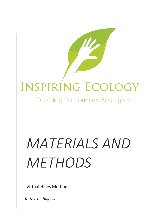## INSPIRING ECOLOGY

Teaching Tomorrow's Ecologists

## *MATERIALS AND METHODS*

Virtual Hides Methods

*Dr Martin Hughes*